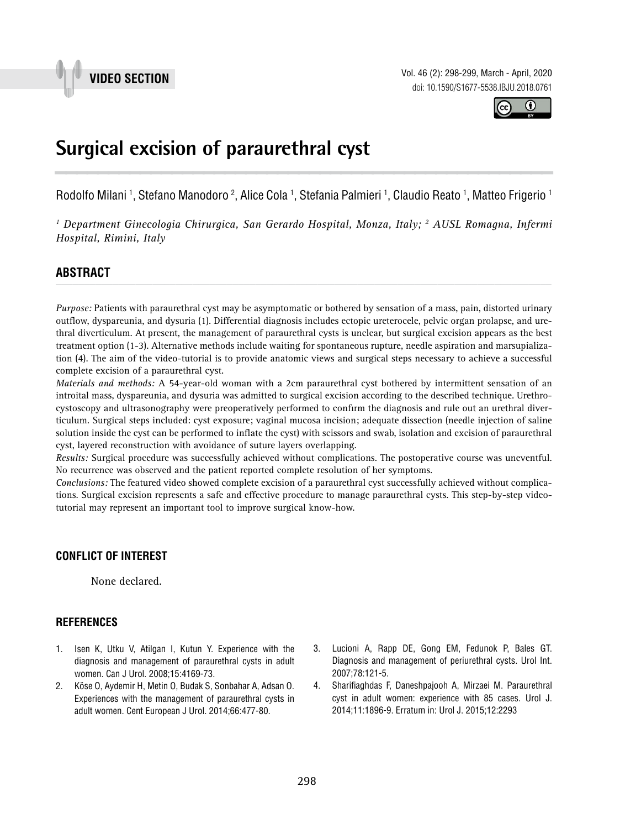

Vol. 46 (2): 298-299, March - April, 2020 doi: 10.1590/S1677-5538.IBJU.2018.0761



## **Surgical excision of paraurethral cyst 1**

Rodolfo Milani <sup>1</sup>, Stefano Manodoro <sup>2</sup>, Alice Cola <sup>1</sup>, Stefania Palmieri <sup>1</sup>, Claudio Reato <sup>1</sup>, Matteo Frigerio <sup>1</sup>

<sup>1</sup> Department Ginecologia Chirurgica, San Gerardo Hospital, Monza, Italy; <sup>2</sup> AUSL Romagna, Infermi *Hospital, Rimini, Italy*

# **ABSTRACT** *\_\_\_\_\_\_\_\_\_\_\_\_\_\_\_\_\_\_\_\_\_\_\_\_\_\_\_\_\_\_\_\_\_\_\_\_\_\_\_\_\_\_\_\_\_\_\_\_\_\_\_\_\_\_\_\_\_\_\_\_\_\_\_\_\_\_\_\_\_\_\_\_\_\_\_\_\_\_\_\_\_\_\_\_\_\_\_*

*Purpose:* Patients with paraurethral cyst may be asymptomatic or bothered by sensation of a mass, pain, distorted urinary outflow, dyspareunia, and dysuria (1). Differential diagnosis includes ectopic ureterocele, pelvic organ prolapse, and urethral diverticulum. At present, the management of paraurethral cysts is unclear, but surgical excision appears as the best treatment option (1-3). Alternative methods include waiting for spontaneous rupture, needle aspiration and marsupialization (4). The aim of the video-tutorial is to provide anatomic views and surgical steps necessary to achieve a successful complete excision of a paraurethral cyst.

*Materials and methods:* A 54-year-old woman with a 2cm paraurethral cyst bothered by intermittent sensation of an introital mass, dyspareunia, and dysuria was admitted to surgical excision according to the described technique. Urethrocystoscopy and ultrasonography were preoperatively performed to confirm the diagnosis and rule out an urethral diverticulum. Surgical steps included: cyst exposure; vaginal mucosa incision; adequate dissection (needle injection of saline solution inside the cyst can be performed to inflate the cyst) with scissors and swab, isolation and excision of paraurethral cyst, layered reconstruction with avoidance of suture layers overlapping.

*Results:* Surgical procedure was successfully achieved without complications. The postoperative course was uneventful. No recurrence was observed and the patient reported complete resolution of her symptoms.

*Conclusions:* The featured video showed complete excision of a paraurethral cyst successfully achieved without complications. Surgical excision represents a safe and effective procedure to manage paraurethral cysts. This step-by-step videotutorial may represent an important tool to improve surgical know-how.

#### **CONFLICT OF INTEREST**

None declared.

#### **REFERENCES**

- 1. Isen K, Utku V, Atilgan I, Kutun Y. Experience with the diagnosis and management of paraurethral cysts in adult women. Can J Urol. 2008;15:4169-73.
- 2. Köse O, Aydemir H, Metin O, Budak S, Sonbahar A, Adsan O. Experiences with the management of paraurethral cysts in adult women. Cent European J Urol. 2014;66:477-80.
- 3. Lucioni A, Rapp DE, Gong EM, Fedunok P, Bales GT. Diagnosis and management of periurethral cysts. Urol Int. 2007;78:121-5.
- 4. Sharifiaghdas F, Daneshpajooh A, Mirzaei M. Paraurethral cyst in adult women: experience with 85 cases. Urol J. 2014;11:1896-9. Erratum in: Urol J. 2015;12:2293